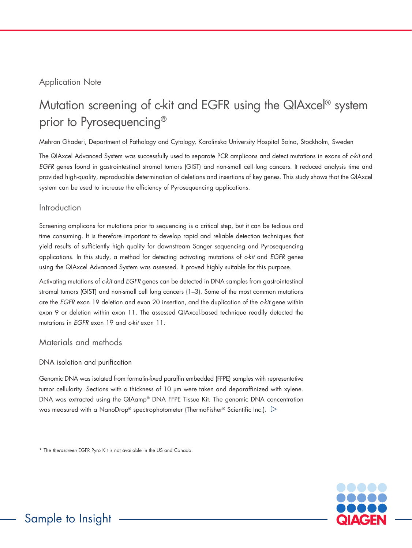# Application Note

# Mutation screening of c-kit and EGFR using the QIAxcel® system prior to Pyrosequencing®

Mehran Ghaderi, Department of Pathology and Cytology, Karolinska University Hospital Solna, Stockholm, Sweden

The QIAxcel Advanced System was successfully used to separate PCR amplicons and detect mutations in exons of *c-kit* and *EGFR* genes found in gastrointestinal stromal tumors (GIST) and non-small cell lung cancers. It reduced analysis time and provided high-quality, reproducible determination of deletions and insertions of key genes. This study shows that the QIAxcel system can be used to increase the efficiency of Pyrosequencing applications.

## Introduction

Screening amplicons for mutations prior to sequencing is a critical step, but it can be tedious and time consuming. It is therefore important to develop rapid and reliable detection techniques that yield results of sufficiently high quality for downstream Sanger sequencing and Pyrosequencing applications. In this study, a method for detecting activating mutations of *c-kit* and *EGFR* genes using the QIAxcel Advanced System was assessed. It proved highly suitable for this purpose.

Activating mutations of *c-kit* and *EGFR* genes can be detected in DNA samples from gastrointestinal stromal tumors (GIST) and non-small cell lung cancers (1–3). Some of the most common mutations are the *EGFR* exon 19 deletion and exon 20 insertion, and the duplication of the *c-kit* gene within exon 9 or deletion within exon 11. The assessed QIAxcel-based technique readily detected the mutations in *EGFR* exon 19 and *c-kit* exon 11.

## Materials and methods

## DNA isolation and purification

Genomic DNA was isolated from formalin-fixed paraffin embedded (FFPE) samples with representative tumor cellularity. Sections with a thickness of 10 µm were taken and deparaffinized with xylene. DNA was extracted using the QIAamp® DNA FFPE Tissue Kit. The genomic DNA concentration was measured with a NanoDrop® spectrophotometer (ThermoFisher® Scientific Inc.).  $\triangleright$ 

\* The *therascreen* EGFR Pyro Kit is not available in the US and Canada.

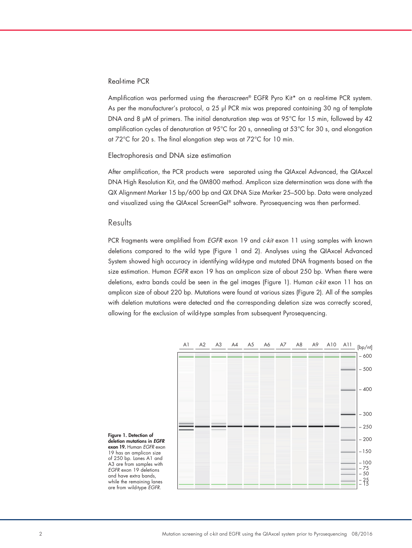#### Real-time PCR

Amplification was performed using the *therascreen*® EGFR Pyro Kit\* on a real-time PCR system. As per the manufacturer's protocol, a 25 µl PCR mix was prepared containing 30 ng of template DNA and 8 µM of primers. The initial denaturation step was at 95°C for 15 min, followed by 42 amplification cycles of denaturation at 95°C for 20 s, annealing at 53°C for 30 s, and elongation at 72°C for 20 s. The final elongation step was at 72°C for 10 min.

Electrophoresis and DNA size estimation

After amplification, the PCR products were separated using the QIAxcel Advanced, the QIAxcel DNA High Resolution Kit, and the 0M800 method. Amplicon size determination was done with the QX Alignment Marker 15 bp/600 bp and QX DNA Size Marker 25–500 bp. Data were analyzed and visualized using the QIAxcel ScreenGel® software. Pyrosequencing was then performed.

### Results

PCR fragments were amplified from *EGFR* exon 19 and *c-kit* exon 11 using samples with known deletions compared to the wild type (Figure 1 and 2). Analyses using the QIAxcel Advanced System showed high accuracy in identifying wild-type and mutated DNA fragments based on the size estimation. Human *EGFR* exon 19 has an amplicon size of about 250 bp. When there were deletions, extra bands could be seen in the gel images (Figure 1). Human *c-kit* exon 11 has an amplicon size of about 220 bp. Mutations were found at various sizes (Figure 2). All of the samples with deletion mutations were detected and the corresponding deletion size was correctly scored, allowing for the exclusion of wild-type samples from subsequent Pyrosequencing.



Figure 1. Detection of deletion mutations in *EGFR* exon 19. Human *EGFR* exon 19 has an amplicon size of 250 bp. Lanes A1 and A3 are from samples with *EGFR* exon 19 deletions and have extra bands, while the remaining lanes are from wild-type *EGFR*.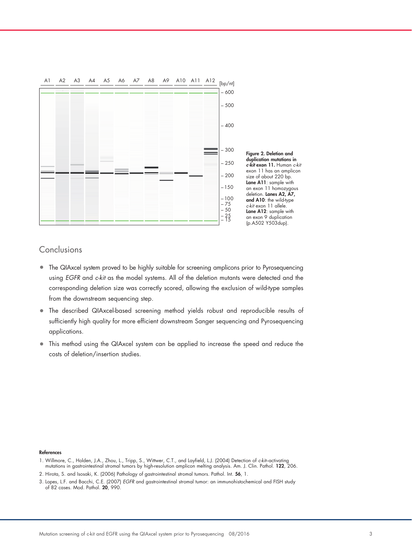

# Conclusions

- The QIAxcel system proved to be highly suitable for screening amplicons prior to Pyrosequencing using *EGFR* and *c-kit* as the model systems. All of the deletion mutants were detected and the corresponding deletion size was correctly scored, allowing the exclusion of wild-type samples from the downstream sequencing step.
- The described QIAxcel-based screening method yields robust and reproducible results of sufficiently high quality for more efficient downstream Sanger sequencing and Pyrosequencing applications.
- This method using the QIAxcel system can be applied to increase the speed and reduce the costs of deletion/insertion studies.

#### References

- 1. Willmore, C., Holden, J.A., Zhou, L., Tripp, S., Wittwer, C.T., and Layfield, L.J. (2004) Detection of *c-kit*–activating mutations in gastrointestinal stromal tumors by high-resolution amplicon melting analysis. Am. J. Clin. Pathol. 122, 206.
- 2. Hirota, S. and Isosaki, K. (2006) Pathology of gastrointestinal stromal tumors. Pathol. Int. 56, 1.
- 3. Lopes, L.F. and Bacchi, C.E. (2007) *EGFR* and gastrointestinal stromal tumor: an immunohistochemical and FISH study of 82 cases. Mod. Pathol. 20, 990.